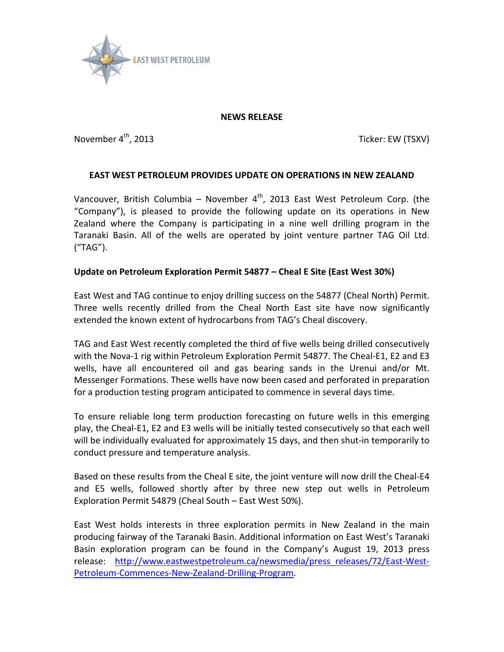

### **NEWS RELEASE**

November 4<sup>th</sup>, 2013 **November 4th, 2013** Ticker: EW (TSXV)

## **EAST WEST PETROLEUM PROVIDES UPDATE ON OPERATIONS IN NEW ZEALAND**

Vancouver, British Columbia – November  $4<sup>th</sup>$ , 2013 East West Petroleum Corp. (the "Company"), is pleased to provide the following update on its operations in New Zealand where the Company is participating in a nine well drilling program in the Taranaki Basin. All of the wells are operated by joint venture partner TAG Oil Ltd. ("TAG").

# **Update on Petroleum Exploration Permit 54877 – Cheal E Site (East West 30%)**

East West and TAG continue to enjoy drilling success on the 54877 (Cheal North) Permit. Three wells recently drilled from the Cheal North East site have now significantly extended the known extent of hydrocarbons from TAG's Cheal discovery.

TAG and East West recently completed the third of five wells being drilled consecutively with the Nova-1 rig within Petroleum Exploration Permit 54877. The Cheal-E1, E2 and E3 wells, have all encountered oil and gas bearing sands in the Urenui and/or Mt. Messenger Formations. These wells have now been cased and perforated in preparation for a production testing program anticipated to commence in several days time.

To ensure reliable long term production forecasting on future wells in this emerging play, the Cheal-E1, E2 and E3 wells will be initially tested consecutively so that each well will be individually evaluated for approximately 15 days, and then shut-in temporarily to conduct pressure and temperature analysis.

Based on these results from the Cheal E site, the joint venture will now drill the Cheal-E4 and E5 wells, followed shortly after by three new step out wells in Petroleum Exploration Permit 54879 (Cheal South – East West 50%).

East West holds interests in three exploration permits in New Zealand in the main producing fairway of the Taranaki Basin. Additional information on East West's Taranaki Basin exploration program can be found in the Company's August 19, 2013 press release: [http://www.eastwestpetroleum.ca/newsmedia/press\\_releases/72/East-West-](http://www.eastwestpetroleum.ca/newsmedia/press_releases/72/East-West-Petroleum-Commences-New-Zealand-Drilling-Program)[Petroleum-Commences-New-Zealand-Drilling-Program.](http://www.eastwestpetroleum.ca/newsmedia/press_releases/72/East-West-Petroleum-Commences-New-Zealand-Drilling-Program)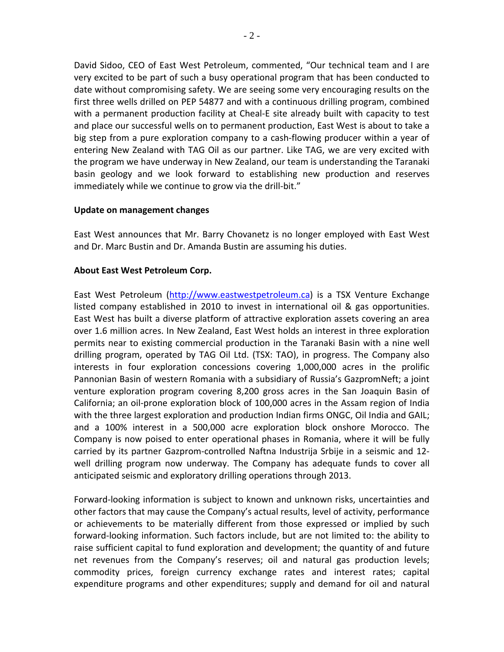David Sidoo, CEO of East West Petroleum, commented, "Our technical team and I are very excited to be part of such a busy operational program that has been conducted to date without compromising safety. We are seeing some very encouraging results on the first three wells drilled on PEP 54877 and with a continuous drilling program, combined with a permanent production facility at Cheal-E site already built with capacity to test and place our successful wells on to permanent production, East West is about to take a big step from a pure exploration company to a cash-flowing producer within a year of entering New Zealand with TAG Oil as our partner. Like TAG, we are very excited with the program we have underway in New Zealand, our team is understanding the Taranaki basin geology and we look forward to establishing new production and reserves immediately while we continue to grow via the drill-bit."

#### **Update on management changes**

East West announces that Mr. Barry Chovanetz is no longer employed with East West and Dr. Marc Bustin and Dr. Amanda Bustin are assuming his duties.

## **About East West Petroleum Corp.**

East West Petroleum [\(http://www.eastwestpetroleum.ca\)](http://www.eastwestpetroleum.ca/) is a TSX Venture Exchange listed company established in 2010 to invest in international oil & gas opportunities. East West has built a diverse platform of attractive exploration assets covering an area over 1.6 million acres. In New Zealand, East West holds an interest in three exploration permits near to existing commercial production in the Taranaki Basin with a nine well drilling program, operated by TAG Oil Ltd. (TSX: TAO), in progress. The Company also interests in four exploration concessions covering 1,000,000 acres in the prolific Pannonian Basin of western Romania with a subsidiary of Russia's GazpromNeft; a joint venture exploration program covering 8,200 gross acres in the San Joaquin Basin of California; an oil-prone exploration block of 100,000 acres in the Assam region of India with the three largest exploration and production Indian firms ONGC, Oil India and GAIL; and a 100% interest in a 500,000 acre exploration block onshore Morocco. The Company is now poised to enter operational phases in Romania, where it will be fully carried by its partner Gazprom-controlled Naftna Industrija Srbije in a seismic and 12 well drilling program now underway. The Company has adequate funds to cover all anticipated seismic and exploratory drilling operations through 2013.

Forward-looking information is subject to known and unknown risks, uncertainties and other factors that may cause the Company's actual results, level of activity, performance or achievements to be materially different from those expressed or implied by such forward-looking information. Such factors include, but are not limited to: the ability to raise sufficient capital to fund exploration and development; the quantity of and future net revenues from the Company's reserves; oil and natural gas production levels; commodity prices, foreign currency exchange rates and interest rates; capital expenditure programs and other expenditures; supply and demand for oil and natural